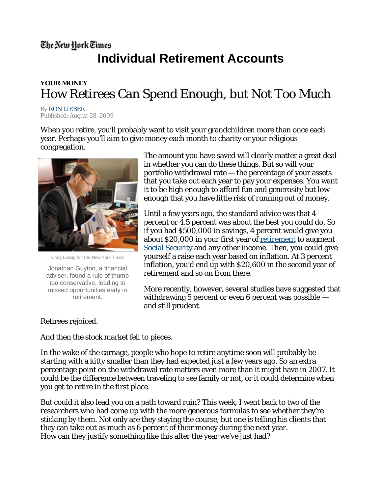# The New York Times **Individual Retirement Accounts**

## **YOUR MONEY**  How Retirees Can Spend Enough, but Not Too Much

**By RON LIEBER** Published: August 28, 2009

When you retire, you'll probably want to visit your grandchildren more than once each year. Perhaps you'll aim to give money each month to charity or your religious congregation.



Craig Lassig for The New York Times

Jonathan Guyton, a financial adviser, found a rule of thumb too conservative, leading to missed opportunities early in retirement.

The amount you have saved will clearly matter a great deal in whether you can do these things. But so will your portfolio withdrawal rate — the percentage of your assets that you take out each year to pay your expenses. You want it to be high enough to afford fun and generosity but low enough that you have little risk of running out of money.

Until a few years ago, the standard advice was that 4 percent or 4.5 percent was about the best you could do. So if you had \$500,000 in savings, 4 percent would give you about \$20,000 in your first year of retirement to augment Social Security and any other income. Then, you could give yourself a raise each year based on inflation. At 3 percent inflation, you'd end up with \$20,600 in the second year of retirement and so on from there.

More recently, however, several studies have suggested that withdrawing 5 percent or even 6 percent was possible and still prudent.

## Retirees rejoiced.

And then the stock market fell to pieces.

In the wake of the carnage, people who hope to retire anytime soon will probably be starting with a kitty smaller than they had expected just a few years ago. So an extra percentage point on the withdrawal rate matters even more than it might have in 2007. It could be the difference between traveling to see family or not, or it could determine when you get to retire in the first place.

But could it also lead you on a path toward ruin? This week, I went back to two of the researchers who had come up with the more generous formulas to see whether they're sticking by them. Not only are they staying the course, but one is telling his clients that they can take out as much as 6 percent of their money during the next year. How can they justify something like this after the year we've just had?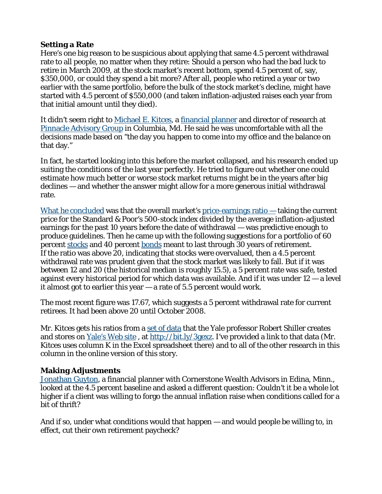#### **Setting a Rate**

Here's one big reason to be suspicious about applying that same 4.5 percent withdrawal rate to all people, no matter when they retire: Should a person who had the bad luck to retire in March 2009, at the stock market's recent bottom, spend 4.5 percent of, say, \$350,000, or could they spend a bit more? After all, people who retired a year or two earlier with the same portfolio, before the bulk of the stock market's decline, might have started with 4.5 percent of \$550,000 (and taken inflation-adjusted raises each year from that initial amount until they died).

It didn't seem right to Michael E. Kitces, a financial planner and director of research at Pinnacle Advisory Group in Columbia, Md. He said he was uncomfortable with all the decisions made based on "the day you happen to come into my office and the balance on that day."

In fact, he started looking into this before the market collapsed, and his research ended up suiting the conditions of the last year perfectly. He tried to figure out whether one could estimate how much better or worse stock market returns might be in the years after big declines — and whether the answer might allow for a more generous initial withdrawal rate.

What he concluded was that the overall market's price-earnings ratio — taking the current price for the Standard & Poor's 500-stock index divided by the average inflation-adjusted earnings for the past 10 years before the date of withdrawal — was predictive enough to produce guidelines. Then he came up with the following suggestions for a portfolio of 60 percent stocks and 40 percent bonds meant to last through 30 years of retirement. If the ratio was above 20, indicating that stocks were overvalued, then a 4.5 percent withdrawal rate was prudent given that the stock market was likely to fall. But if it was between 12 and 20 (the historical median is roughly 15.5), a 5 percent rate was safe, tested against every historical period for which data was available. And if it was under  $12 - a$  level it almost got to earlier this year — a rate of 5.5 percent would work.

The most recent figure was 17.67, which suggests a 5 percent withdrawal rate for current retirees. It had been above 20 until October 2008.

Mr. Kitces gets his ratios from a set of data that the Yale professor Robert Shiller creates and stores on Yale's Web site , at http://bit.ly/3gexz. I've provided a link to that data (Mr. Kitces uses column K in the Excel spreadsheet there) and to all of the other research in this column in the online version of this story.

## **Making Adjustments**

Jonathan Guyton, a financial planner with Cornerstone Wealth Advisors in Edina, Minn., looked at the 4.5 percent baseline and asked a different question: Couldn't it be a whole lot higher if a client was willing to forgo the annual inflation raise when conditions called for a bit of thrift?

And if so, under what conditions would that happen — and would people be willing to, in effect, cut their own retirement paycheck?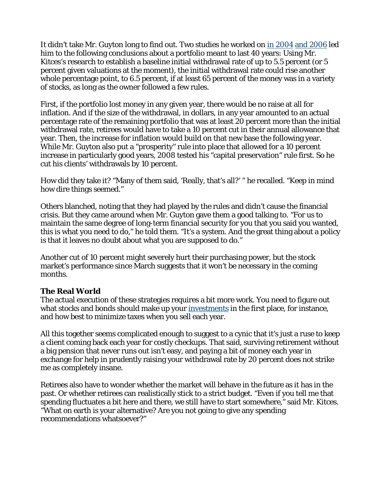It didn't take Mr. Guyton long to find out. Two studies he worked on in 2004 and 2006 led him to the following conclusions about a portfolio meant to last 40 years: Using Mr. Kitces's research to establish a baseline initial withdrawal rate of up to 5.5 percent (or 5 percent given valuations at the moment), the initial withdrawal rate could rise another whole percentage point, to 6.5 percent, if at least 65 percent of the money was in a variety of stocks, as long as the owner followed a few rules.

First, if the portfolio lost money in any given year, there would be no raise at all for inflation. And if the size of the withdrawal, in dollars, in any year amounted to an actual percentage rate of the remaining portfolio that was at least 20 percent more than the initial withdrawal rate, retirees would have to take a 10 percent cut in their annual allowance that year. Then, the increase for inflation would build on that new base the following year. While Mr. Guyton also put a "prosperity" rule into place that allowed for a 10 percent increase in particularly good years, 2008 tested his "capital preservation" rule first. So he cut his clients' withdrawals by 10 percent.

How did they take it? "Many of them said, 'Really, that's all?' " he recalled. "Keep in mind how dire things seemed."

Others blanched, noting that they had played by the rules and didn't cause the financial crisis. But they came around when Mr. Guyton gave them a good talking to. "For us to maintain the same degree of long-term financial security for you that you said you wanted, this is what you need to do," he told them. "It's a system. And the great thing about a policy is that it leaves no doubt about what you are supposed to do."

Another cut of 10 percent might severely hurt their purchasing power, but the stock market's performance since March suggests that it won't be necessary in the coming months.

## **The Real World**

The actual execution of these strategies requires a bit more work. You need to figure out what stocks and bonds should make up your investments in the first place, for instance, and how best to minimize taxes when you sell each year.

All this together seems complicated enough to suggest to a cynic that it's just a ruse to keep a client coming back each year for costly checkups. That said, surviving retirement without a big pension that never runs out isn't easy, and paying a bit of money each year in exchange for help in prudently raising your withdrawal rate by 20 percent does not strike me as completely insane.

Retirees also have to wonder whether the market will behave in the future as it has in the past. Or whether retirees can realistically stick to a strict budget. "Even if you tell me that spending fluctuates a bit here and there, we still have to start somewhere," said Mr. Kitces. "What on earth is your alternative? Are you not going to give any spending recommendations whatsoever?"